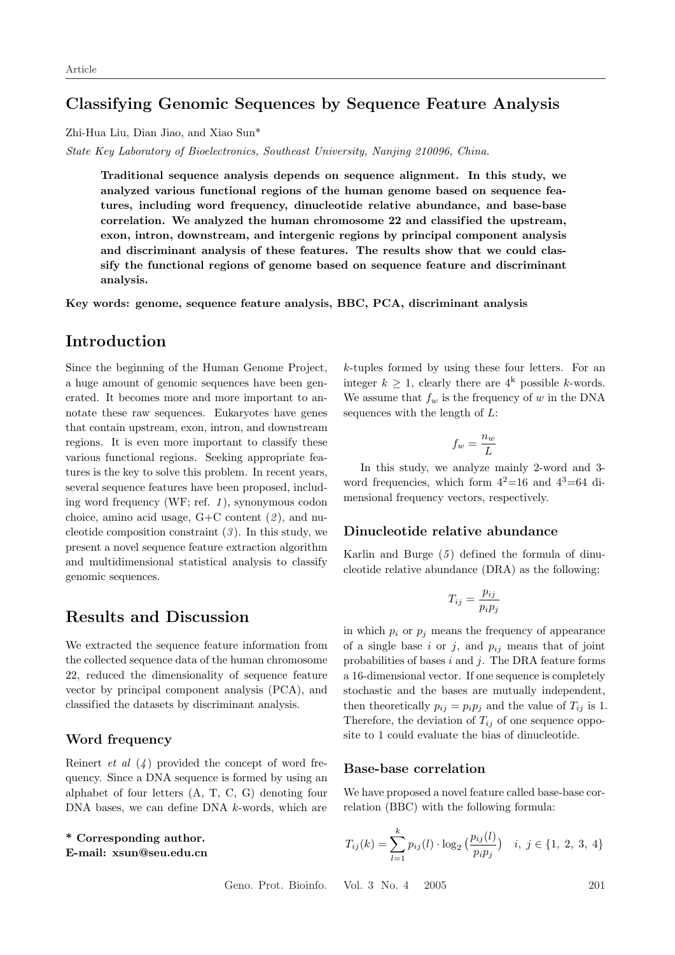## Classifying Genomic Sequences by Sequence Feature Analysis

Zhi-Hua Liu, Dian Jiao, and Xiao Sun\*

State Key Laboratory of Bioelectronics, Southeast University, Nanjing 210096, China.

Traditional sequence analysis depends on sequence alignment. In this study, we analyzed various functional regions of the human genome based on sequence features, including word frequency, dinucleotide relative abundance, and base-base correlation. We analyzed the human chromosome 22 and classified the upstream, exon, intron, downstream, and intergenic regions by principal component analysis and discriminant analysis of these features. The results show that we could classify the functional regions of genome based on sequence feature and discriminant analysis.

Key words: genome, sequence feature analysis, BBC, PCA, discriminant analysis

## Introduction

Since the beginning of the Human Genome Project, a huge amount of genomic sequences have been generated. It becomes more and more important to annotate these raw sequences. Eukaryotes have genes that contain upstream, exon, intron, and downstream regions. It is even more important to classify these various functional regions. Seeking appropriate features is the key to solve this problem. In recent years, several sequence features have been proposed, including word frequency (WF; ref.  $1$ ), synonymous codon choice, amino acid usage,  $G+C$  content  $(2)$ , and nucleotide composition constraint  $(3)$ . In this study, we present a novel sequence feature extraction algorithm and multidimensional statistical analysis to classify genomic sequences.

## Results and Discussion

We extracted the sequence feature information from the collected sequence data of the human chromosome 22, reduced the dimensionality of sequence feature vector by principal component analysis (PCA), and classified the datasets by discriminant analysis.

#### Word frequency

Reinert *et al*  $(4)$  provided the concept of word frequency. Since a DNA sequence is formed by using an alphabet of four letters (A, T, C, G) denoting four DNA bases, we can define DNA k-words, which are

#### \* Corresponding author. E-mail: xsun@seu.edu.cn

k-tuples formed by using these four letters. For an integer  $k \geq 1$ , clearly there are  $4^k$  possible k-words. We assume that  $f_w$  is the frequency of w in the DNA sequences with the length of  $L$ :

$$
f_w = \frac{n_w}{L}
$$

In this study, we analyze mainly 2-word and 3 word frequencies, which form  $4^2=16$  and  $4^3=64$  dimensional frequency vectors, respectively.

#### Dinucleotide relative abundance

Karlin and Burge  $(5)$  defined the formula of dinucleotide relative abundance (DRA) as the following:

$$
T_{ij} = \frac{p_{ij}}{p_i p_j}
$$

in which  $p_i$  or  $p_j$  means the frequency of appearance of a single base i or j, and  $p_{ij}$  means that of joint probabilities of bases  $i$  and  $j$ . The DRA feature forms a 16-dimensional vector. If one sequence is completely stochastic and the bases are mutually independent, then theoretically  $p_{ij} = p_i p_j$  and the value of  $T_{ij}$  is 1. Therefore, the deviation of  $T_{ij}$  of one sequence opposite to 1 could evaluate the bias of dinucleotide.

#### Base-base correlation

We have proposed a novel feature called base-base correlation (BBC) with the following formula:

$$
T_{ij}(k) = \sum_{l=1}^{k} p_{ij}(l) \cdot \log_2\left(\frac{p_{ij}(l)}{p_i p_j}\right) \quad i, \ j \in \{1, 2, 3, 4\}
$$

Geno. Prot. Bioinfo. Vol. 3 No. 4 2005 201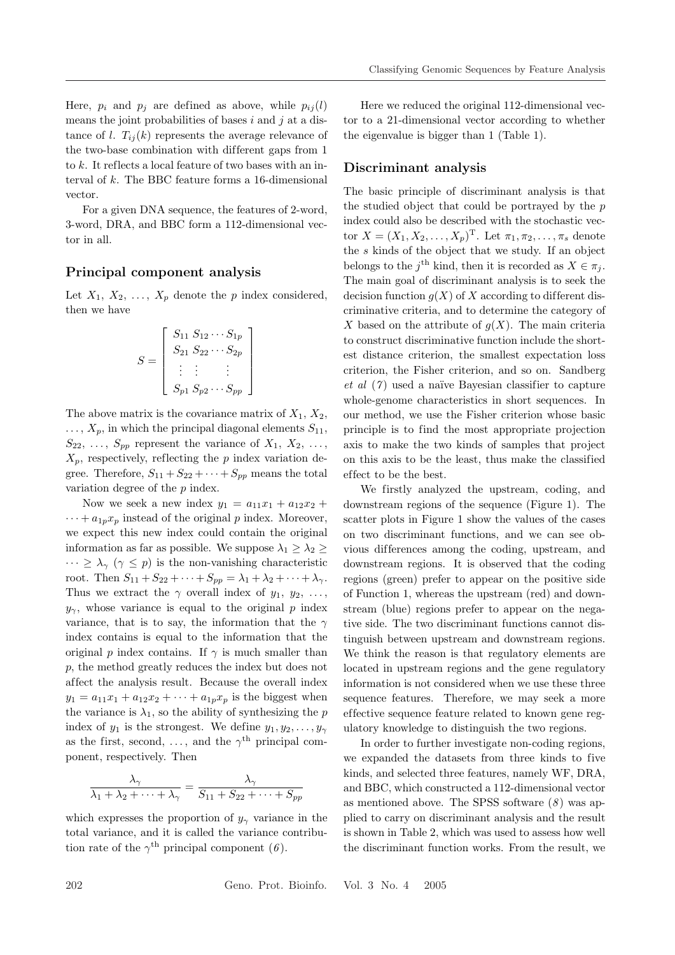Here,  $p_i$  and  $p_j$  are defined as above, while  $p_{ij}(l)$ means the joint probabilities of bases  $i$  and  $j$  at a distance of l.  $T_{ij}(k)$  represents the average relevance of the two-base combination with dif ferent gaps from 1 to k. It reflects a local feature of two bases with an interval of  $k$ . The BBC feature forms a 16-dimensional vector.

For a given DNA sequence, the features of 2-word, 3-word, DRA, and BBC form a 112-dimensional vector in all.

#### Principal component analysis

Let  $X_1, X_2, \ldots, X_p$  denote the p index considered, then we have

$$
S = \begin{bmatrix} S_{11} & S_{12} & \cdots & S_{1p} \\ S_{21} & S_{22} & \cdots & S_{2p} \\ \vdots & \vdots & & \vdots \\ S_{p1} & S_{p2} & \cdots & S_{pp} \end{bmatrix}
$$

The above matrix is the covariance matrix of  $X_1, X_2,$  $\ldots$ ,  $X_p$ , in which the principal diagonal elements  $S_{11}$ ,  $S_{22}, \ldots, S_{pp}$  represent the variance of  $X_1, X_2, \ldots$ ,  $X_p$ , respectively, reflecting the p index variation degree. Therefore,  $S_{11} + S_{22} + \cdots + S_{pp}$  means the total variation degree of the p index.

Now we seek a new index  $y_1 = a_{11}x_1 + a_{12}x_2 +$  $\cdots + a_{1p}x_p$  instead of the original p index. Moreover, we expect this new index could contain the original information as far as possible. We suppose  $\lambda_1 \geq \lambda_2 \geq$  $\cdots \geq \lambda_{\gamma}$   $(\gamma \leq p)$  is the non-vanishing characteristic root. Then  $S_{11} + S_{22} + \cdots + S_{pp} = \lambda_1 + \lambda_2 + \cdots + \lambda_\gamma$ . Thus we extract the  $\gamma$  overall index of  $y_1, y_2, \ldots,$  $y_{\gamma}$ , whose variance is equal to the original p index variance, that is to say, the information that the  $\gamma$ index contains is equal to the information that the original p index contains. If  $\gamma$  is much smaller than p, the method greatly reduces the index but does not af fect the analysis result. Because the overall index  $y_1 = a_{11}x_1 + a_{12}x_2 + \cdots + a_{1p}x_p$  is the biggest when the variance is  $\lambda_1$ , so the ability of synthesizing the p index of  $y_1$  is the strongest. We define  $y_1, y_2, \ldots, y_{\gamma}$ as the first, second, ..., and the  $\gamma^{\text{th}}$  principal component, respectively. Then

$$
\frac{\lambda_{\gamma}}{\lambda_1 + \lambda_2 + \dots + \lambda_{\gamma}} = \frac{\lambda_{\gamma}}{S_{11} + S_{22} + \dots + S_{pp}}
$$

which expresses the proportion of  $y_{\gamma}$  variance in the total variance, and it is called the variance contribution rate of the  $\gamma^{\text{th}}$  principal component (6).

Here we reduced the original 112-dimensional vector to a 21-dimensional vector according to whether the eigenvalue is bigger than 1 (Table 1).

#### Discriminant analysis

The basic principle of discriminant analysis is that the studied object that could be portrayed by the p index could also be described with the stochastic vector  $X = (X_1, X_2, \ldots, X_p)^\mathrm{T}$ . Let  $\pi_1, \pi_2, \ldots, \pi_s$  denote the s kinds of the object that we study. If an object belongs to the j<sup>th</sup> kind, then it is recorded as  $X \in \pi_j$ . The main goal of discriminant analysis is to seek the decision function  $q(X)$  of X according to different discriminative criteria, and to determine the category of X based on the attribute of  $g(X)$ . The main criteria to construct discriminative function include the shortest distance criterion, the smallest expectation loss criterion, the Fisher criterion, and so on. Sandberg et al  $(7)$  used a naïve Bayesian classifier to capture whole-genome characteristics in short sequences. In our method, we use the Fisher criterion whose basic principle is to find the most appropriate projection axis to make the two kinds of samples that project on this axis to be the least, thus make the classified ef fect to be the best.

We firstly analyzed the upstream, coding, and downstream regions of the sequence (Figure 1). The scatter plots in Figure 1 show the values of the cases on two discriminant functions, and we can see obvious dif ferences among the coding, upstream, and downstream regions. It is observed that the coding regions (green) prefer to appear on the positive side of Function 1, whereas the upstream (red) and downstream (blue) regions prefer to appear on the negative side. The two discriminant functions cannot distinguish between upstream and downstream regions. We think the reason is that regulatory elements are located in upstream regions and the gene regulatory information is not considered when we use these three sequence features. Therefore, we may seek a more ef fective sequence feature related to known gene regulatory knowledge to distinguish the two regions.

In order to further investigate non-coding regions, we expanded the datasets from three kinds to five kinds, and selected three features, namely WF, DRA, and BBC, which constructed a 112-dimensional vector as mentioned above. The SPSS software  $(8)$  was applied to carry on discriminant analysis and the result is shown in Table 2, which was used to assess how well the discriminant function works. From the result, we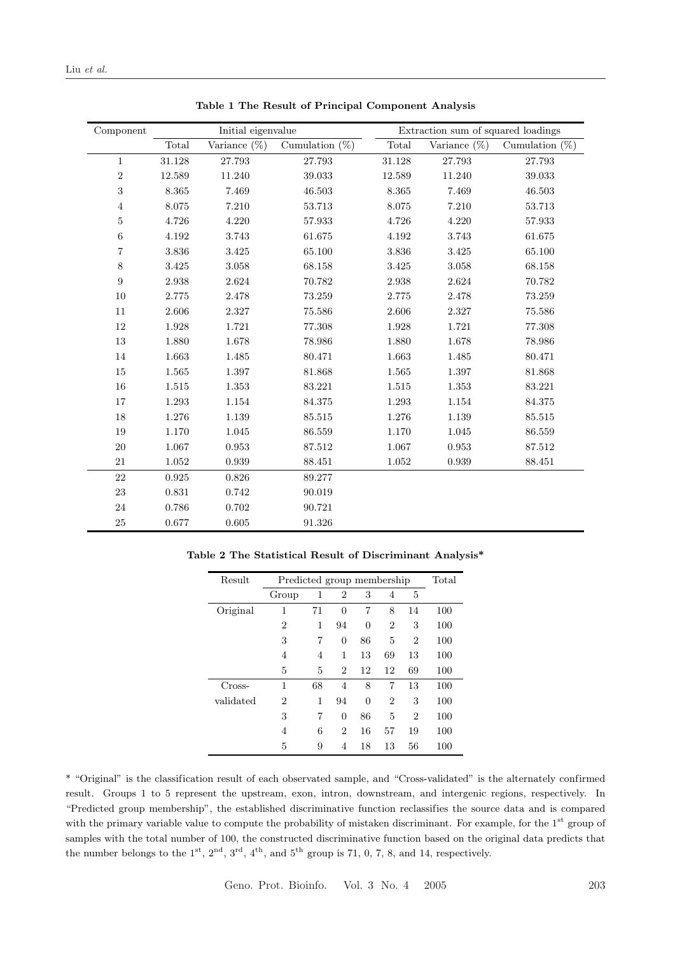| Component               | Initial eigenvalue |                 |                   | Extraction sum of squared loadings |                 |                   |  |
|-------------------------|--------------------|-----------------|-------------------|------------------------------------|-----------------|-------------------|--|
|                         | Total              | Variance $(\%)$ | Cumulation $(\%)$ | Total                              | Variance $(\%)$ | Cumulation $(\%)$ |  |
| $\mathbf{1}$            | 31.128             | 27.793          | 27.793            | 31.128                             | 27.793          | 27.793            |  |
| $\sqrt{2}$              | 12.589             | 11.240          | 39.033            | 12.589                             | 11.240          | 39.033            |  |
| $\sqrt{3}$              | 8.365              | 7.469           | 46.503            | 8.365                              | 7.469           | 46.503            |  |
| $\overline{4}$          | 8.075              | 7.210           | 53.713            | 8.075                              | 7.210           | 53.713            |  |
| $\bf 5$                 | 4.726              | 4.220           | 57.933            | 4.726                              | 4.220           | 57.933            |  |
| $\,6\,$                 | 4.192              | 3.743           | 61.675            | 4.192                              | 3.743           | 61.675            |  |
| $\overline{\mathbf{7}}$ | 3.836              | 3.425           | 65.100            | 3.836                              | 3.425           | 65.100            |  |
| $8\,$                   | 3.425              | 3.058           | 68.158            | $3.425\,$                          | 3.058           | 68.158            |  |
| 9                       | 2.938              | 2.624           | 70.782            | 2.938                              | 2.624           | 70.782            |  |
| 10                      | 2.775              | 2.478           | 73.259            | 2.775                              | 2.478           | 73.259            |  |
| 11                      | 2.606              | 2.327           | 75.586            | 2.606                              | 2.327           | 75.586            |  |
| 12                      | 1.928              | 1.721           | 77.308            | 1.928                              | 1.721           | 77.308            |  |
| 13                      | 1.880              | 1.678           | 78.986            | 1.880                              | 1.678           | 78.986            |  |
| 14                      | 1.663              | 1.485           | 80.471            | 1.663                              | 1.485           | 80.471            |  |
| 15                      | 1.565              | 1.397           | 81.868            | 1.565                              | 1.397           | 81.868            |  |
| 16                      | 1.515              | 1.353           | 83.221            | 1.515                              | 1.353           | 83.221            |  |
| 17                      | 1.293              | 1.154           | 84.375            | 1.293                              | 1.154           | 84.375            |  |
| 18                      | 1.276              | 1.139           | 85.515            | 1.276                              | 1.139           | 85.515            |  |
| 19                      | 1.170              | 1.045           | 86.559            | 1.170                              | 1.045           | 86.559            |  |
| 20                      | 1.067              | 0.953           | 87.512            | 1.067                              | 0.953           | 87.512            |  |
| 21                      | 1.052              | 0.939           | 88.451            | 1.052                              | 0.939           | 88.451            |  |
| 22                      | 0.925              | 0.826           | 89.277            |                                    |                 |                   |  |
| 23                      | 0.831              | 0.742           | 90.019            |                                    |                 |                   |  |
| 24                      | 0.786              | $0.702\,$       | 90.721            |                                    |                 |                   |  |
| $25\,$                  | 0.677              | $0.605\,$       | 91.326            |                                    |                 |                   |  |

Table 1 The Result of Principal Component Analysis

|  |  |  | Table 2 The Statistical Result of Discriminant Analysis* |  |
|--|--|--|----------------------------------------------------------|--|
|--|--|--|----------------------------------------------------------|--|

| Result    | Predicted group membership |    |                |          |                | Total          |     |
|-----------|----------------------------|----|----------------|----------|----------------|----------------|-----|
|           | Group                      | 1  | 2              | 3        | 4              | 5              |     |
| Original  | 1                          | 71 | $\theta$       | 7        | 8              | 14             | 100 |
|           | $\overline{2}$             | 1  | 94             | $\theta$ | $\overline{2}$ | 3              | 100 |
|           | 3                          | 7  | 0              | 86       | 5              | $\overline{2}$ | 100 |
|           | 4                          | 4  | 1              | 13       | 69             | 13             | 100 |
|           | 5                          | 5  | 2              | 12       | 12             | 69             | 100 |
| Cross-    | 1                          | 68 | $\overline{4}$ | 8        | 7              | 13             | 100 |
| validated | $\overline{2}$             | 1  | 94             | $\theta$ | $\overline{2}$ | 3              | 100 |
|           | 3                          | 7  | 0              | 86       | 5              | $\overline{2}$ | 100 |
|           | 4                          | 6  | 2              | 16       | 57             | 19             | 100 |
|           | 5                          | 9  | 4              | 18       | 13             | 56             | 100 |

\* "Original" is the classification result of each observated sample, and "Cross-validated" is the alternately confirmed result. Groups 1 to 5 represent the upstream, exon, intron, downstream, and intergenic regions, respectively. In "Predicted group membership", the established discriminative function reclassifies the source data and is compared with the primary variable value to compute the probability of mistaken discriminant. For example, for the 1<sup>st</sup> group of samples with the total number of 100, the constructed discriminative function based on the original data predicts that the number belongs to the  $1^{st}$ ,  $2^{nd}$ ,  $3^{rd}$ ,  $4^{th}$ , and  $5^{th}$  group is 71, 0, 7, 8, and 14, respectively.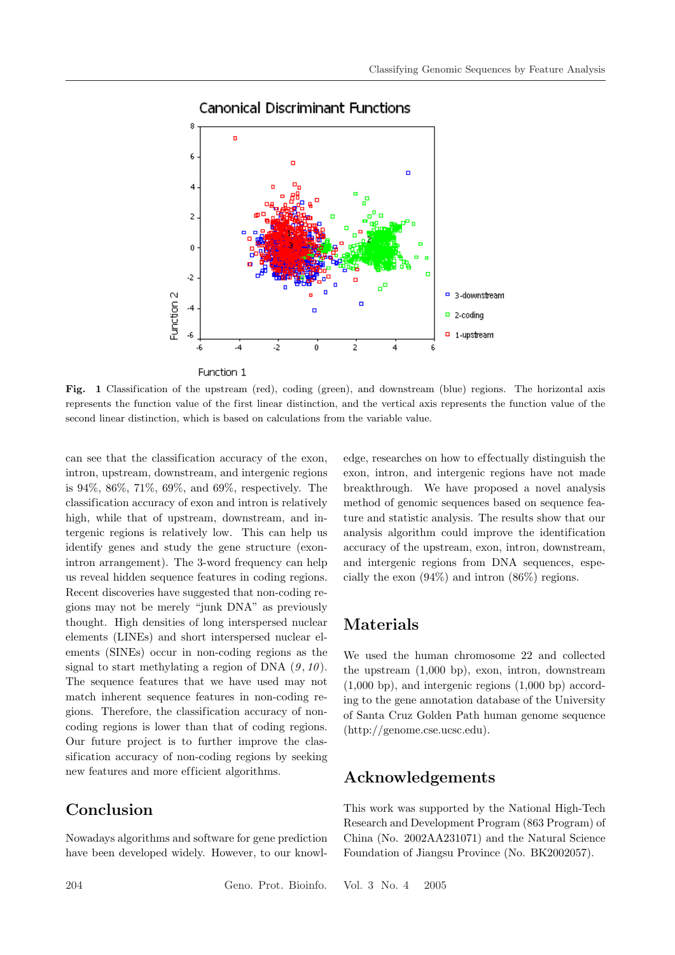

#### **Canonical Discriminant Functions**

Fig. 1 Classification of the upstream (red), coding (green), and downstream (blue) regions. The horizontal axis represents the function value of the first linear distinction, and the vertical axis represents the function value of the second linear distinction, which is based on calculations from the variable value.

can see that the classification accuracy of the exon, intron, upstream, downstream, and intergenic regions is 94%, 86%, 71%, 69%, and 69%, respectively. The classification accuracy of exon and intron is relatively high, while that of upstream, downstream, and intergenic regions is relatively low. This can help us identify genes and study the gene structure (exonintron arrangement). The 3-word frequency can help us reveal hidden sequence features in coding regions. Recent discoveries have suggested that non-coding regions may not be merely "junk DNA" as previously thought. High densities of long interspersed nuclear elements (LINEs) and short interspersed nuclear elements (SINEs) occur in non-coding regions as the signal to start methylating a region of DNA  $(9, 10)$ . The sequence features that we have used may not match inherent sequence features in non-coding regions. Therefore, the classification accuracy of noncoding regions is lower than that of coding regions. Our future project is to further improve the classification accuracy of non-coding regions by seeking new features and more ef ficient algorithms.

# Conclusion

Nowadays algorithms and software for gene prediction have been developed widely. However, to our knowledge, researches on how to ef fectually distinguish the exon, intron, and intergenic regions have not made breakthrough. We have proposed a novel analysis method of genomic sequences based on sequence feature and statistic analysis. The results show that our analysis algorithm could improve the identification accuracy of the upstream, exon, intron, downstream, and intergenic regions from DNA sequences, especially the exon (94%) and intron (86%) regions.

## Materials

We used the human chromosome 22 and collected the upstream (1,000 bp), exon, intron, downstream (1,000 bp), and intergenic regions (1,000 bp) according to the gene annotation database of the University of Santa Cruz Golden Path human genome sequence (http://genome.cse.ucsc.edu).

## Acknowledgements

This work was supported by the National High-Tech Research and Development Program (863 Program) of China (No. 2002AA231071) and the Natural Science Foundation of Jiangsu Province (No. BK2002057).